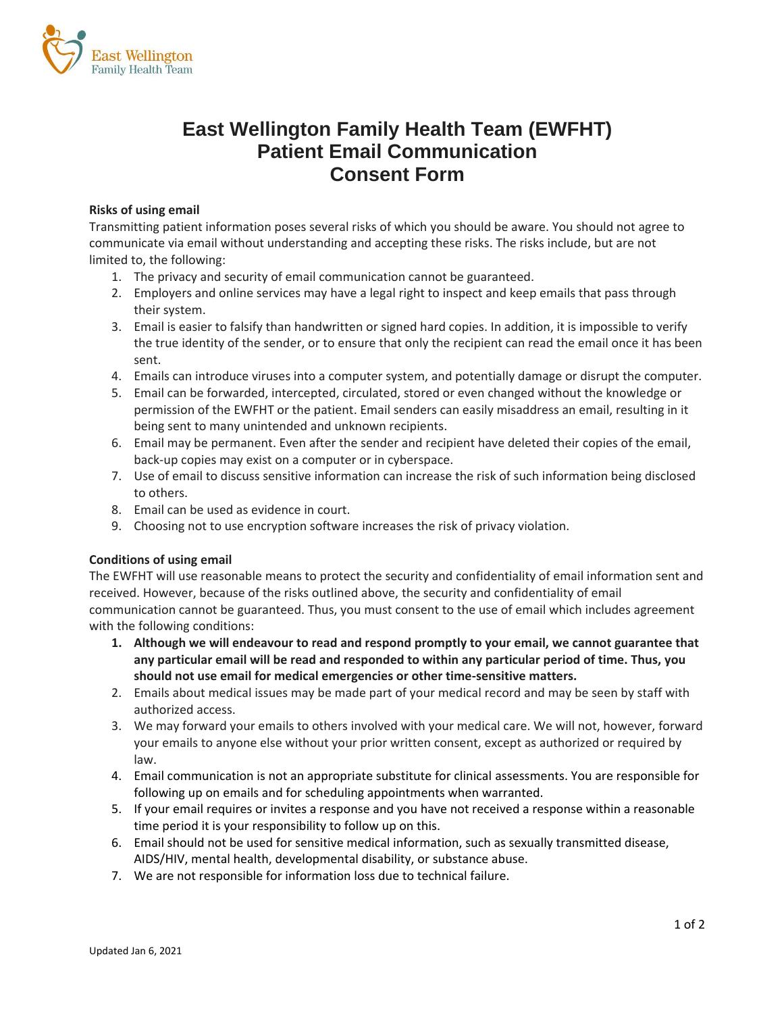

# **East Wellington Family Health Team (EWFHT) Patient Email Communication Consent Form**

#### **Risks of using email**

Transmitting patient information poses several risks of which you should be aware. You should not agree to communicate via email without understanding and accepting these risks. The risks include, but are not limited to, the following:

- 1. The privacy and security of email communication cannot be guaranteed.
- 2. Employers and online services may have a legal right to inspect and keep emails that pass through their system.
- 3. Email is easier to falsify than handwritten or signed hard copies. In addition, it is impossible to verify the true identity of the sender, or to ensure that only the recipient can read the email once it has been sent.
- 4. Emails can introduce viruses into a computer system, and potentially damage or disrupt the computer.
- 5. Email can be forwarded, intercepted, circulated, stored or even changed without the knowledge or permission of the EWFHT or the patient. Email senders can easily misaddress an email, resulting in it being sent to many unintended and unknown recipients.
- 6. Email may be permanent. Even after the sender and recipient have deleted their copies of the email, back-up copies may exist on a computer or in cyberspace.
- 7. Use of email to discuss sensitive information can increase the risk of such information being disclosed to others.
- 8. Email can be used as evidence in court.
- 9. Choosing not to use encryption software increases the risk of privacy violation.

## **Conditions of using email**

The EWFHT will use reasonable means to protect the security and confidentiality of email information sent and received. However, because of the risks outlined above, the security and confidentiality of email communication cannot be guaranteed. Thus, you must consent to the use of email which includes agreement with the following conditions:

- **1. Although we will endeavour to read and respond promptly to your email, we cannot guarantee that any particular email will be read and responded to within any particular period of time. Thus, you should not use email for medical emergencies or other time-sensitive matters.**
- 2. Emails about medical issues may be made part of your medical record and may be seen by staff with authorized access.
- 3. We may forward your emails to others involved with your medical care. We will not, however, forward your emails to anyone else without your prior written consent, except as authorized or required by law.
- 4. Email communication is not an appropriate substitute for clinical assessments. You are responsible for following up on emails and for scheduling appointments when warranted.
- 5. If your email requires or invites a response and you have not received a response within a reasonable time period it is your responsibility to follow up on this.
- 6. Email should not be used for sensitive medical information, such as sexually transmitted disease, AIDS/HIV, mental health, developmental disability, or substance abuse.
- 7. We are not responsible for information loss due to technical failure.